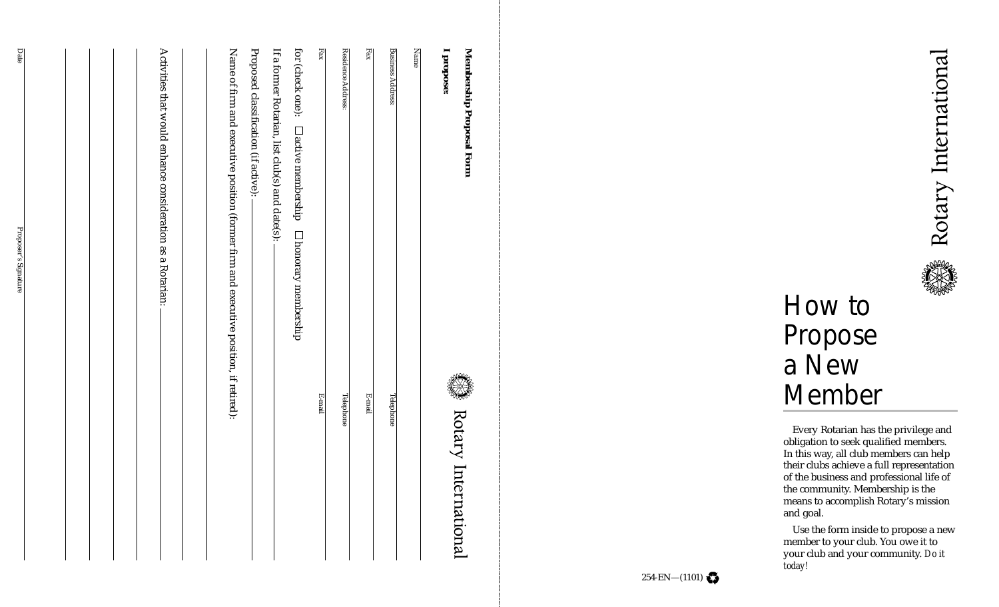Rotary International



# How to Propose a New Member

Every Rotarian has the privilege and obligation to seek qualified members. In this way, all club members can help their clubs achieve a full representation of the business and professional life of the community. Membership is the means to accomplish Rotary's mission and goal.

Use the form inside to propose a new member to your club. You owe it to your club and your community. *Do it today!*

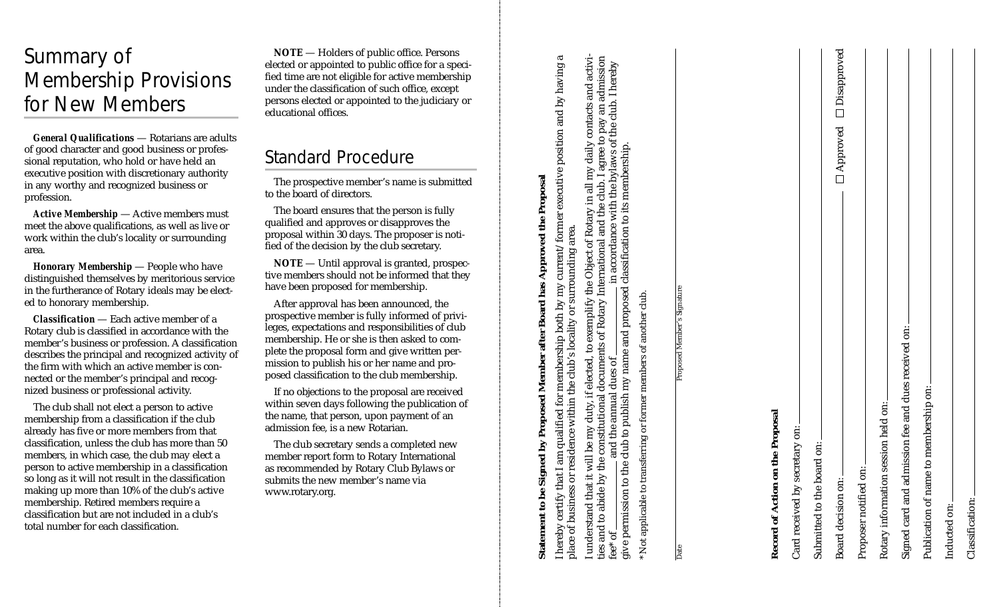## Summary of Membership Provisions for New Members

*General Qualifications* — Rotarians are adults of good character and good business or professional reputation, who hold or have held an executive position with discretionary authority in any worthy and recognized business or profession.

*Active Membership* — Active members must meet the above qualifications, as well as live or work within the club's locality or surrounding area.

*Honorary Membership* — People who have distinguished themselves by meritorious service in the furtherance of Rotary ideals may be elected to honorary membership.

*Classification* — Each active member of a Rotary club is classified in accordance with the member's business or profession. A classification describes the principal and recognized activity of the firm with which an active member is connected or the member's principal and recognized business or professional activity.

The club shall not elect a person to active membership from a classification if the club already has five or more members from that classification, unless the club has more than 50 members, in which case, the club may elect a person to active membership in a classification so long as it will not result in the classification making up more than 10% of the club's active membership. Retired members require a classification but are not included in a club's total number for each classification.

**NOTE** — Holders of public office. Persons elected or appointed to public office for a specified time are not eligible for active membership under the classification of such office, except persons elected or appointed to the judiciary or educational offices.

## Standard Procedure

The prospective member's name is submitted to the board of directors.

The board ensures that the person is fully qualified and approves or disapproves the proposal within 30 days. The proposer is notified of the decision by the club secretary.

**NOTE** — Until approval is granted, prospective members should not be informed that they have been proposed for membership.

After approval has been announced, the prospective member is fully informed of privileges, expectations and responsibilities of club membership. He or she is then asked to complete the proposal form and give written permission to publish his or her name and proposed classification to the club membership.

If no objections to the proposal are received within seven days following the publication of the name, that person, upon payment of an admission fee, is a new Rotarian.

The club secretary sends a completed new member report form to Rotary International as recommended by Rotary Club Bylaws or submits the new member's name via www.rotary.org.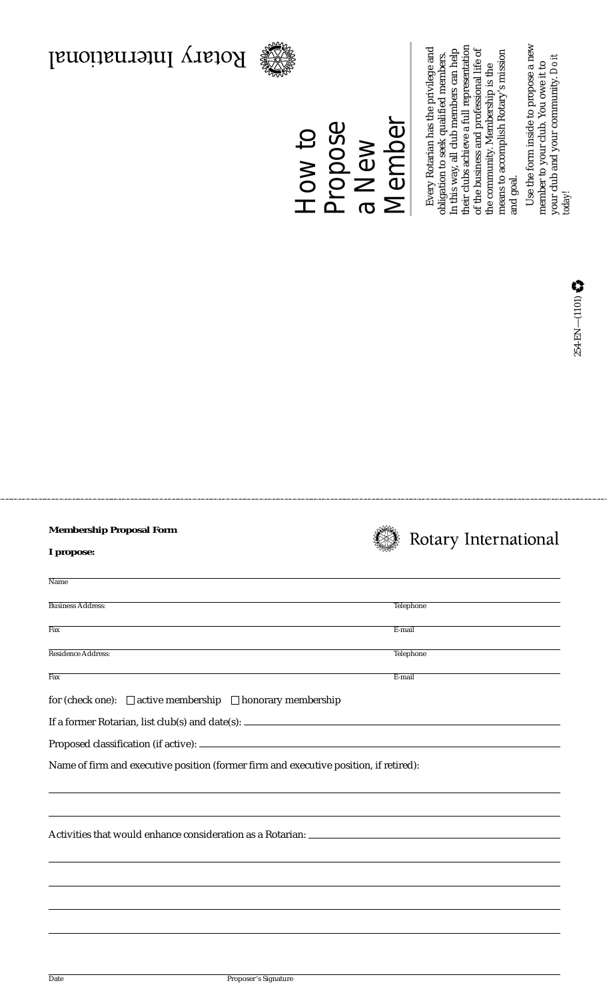### **Membership Proposal Form**

|  | Rotary International |  |
|--|----------------------|--|
|  |                      |  |

|  |  | propose. |
|--|--|----------|
|--|--|----------|

| Name                                                                                  |           |  |  |  |  |  |
|---------------------------------------------------------------------------------------|-----------|--|--|--|--|--|
| <b>Business Address:</b>                                                              | Telephone |  |  |  |  |  |
| $\overline{Fax}$                                                                      | E-mail    |  |  |  |  |  |
| <b>Residence Address:</b>                                                             | Telephone |  |  |  |  |  |
| $\overline{Fax}$                                                                      | E-mail    |  |  |  |  |  |
| for (check one): $\Box$ active membership $\Box$ honorary membership                  |           |  |  |  |  |  |
|                                                                                       |           |  |  |  |  |  |
|                                                                                       |           |  |  |  |  |  |
| Name of firm and executive position (former firm and executive position, if retired): |           |  |  |  |  |  |
|                                                                                       |           |  |  |  |  |  |
|                                                                                       |           |  |  |  |  |  |
|                                                                                       |           |  |  |  |  |  |
|                                                                                       |           |  |  |  |  |  |
|                                                                                       |           |  |  |  |  |  |